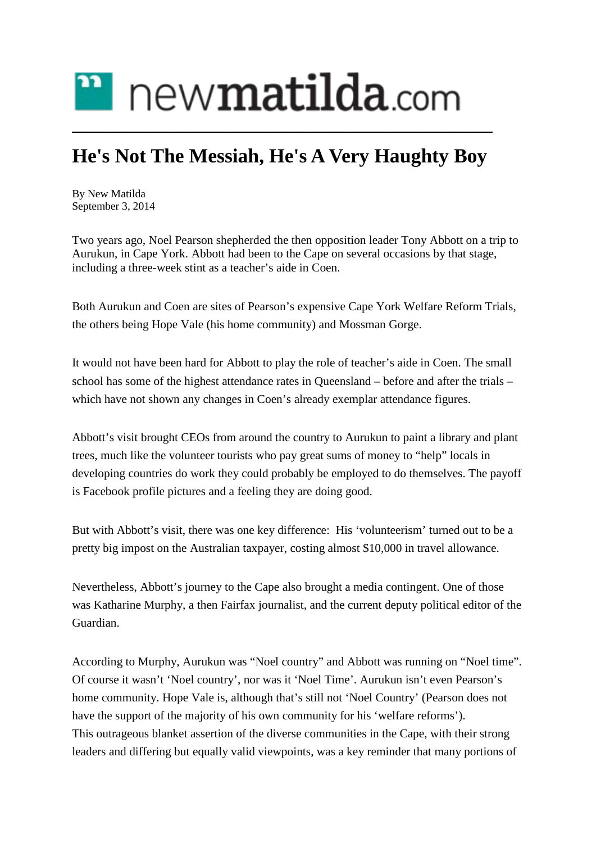## $\mathbf{r}$  new $\mathbf{m}$ atilda.com **\_\_\_\_\_\_\_\_\_\_\_\_\_\_\_\_\_\_\_\_\_\_\_\_\_\_\_\_\_\_\_\_\_\_\_\_\_\_\_\_\_\_**

## **He's Not The Messiah, He's A Very Haughty Boy**

By New [Matilda](https://newmatilda.com/author/new-matilda/) September 3, 2014

Two years ago, Noel Pearson shepherded the then opposition leader Tony Abbott on a trip to Aurukun, in Cape York. Abbott had been to the Cape on several occasions by that stage, including a three-week stint as a teacher's aide in Coen.

Both Aurukun and Coen are sites of Pearson's expensive Cape York Welfare Reform Trials, the others being Hope Vale (his home community) and Mossman Gorge.

It would not have been hard for Abbott to play the role of teacher's aide in Coen. The small school has some of the highest attendance rates in Queensland – before and after the trials – which have not shown any changes in Coen's already exemplar attendance figures.

Abbott's visit brought CEOs from around the country to Aurukun to paint a library and plant trees, much like the volunteer tourists who pay great sums of money to "help" locals in developing countries do work they could probably be employed to do themselves. The payoff is Facebook profile pictures and a feeling they are doing good.

But with Abbott's visit, there was one key difference: His 'volunteerism' turned out to be a pretty big impost on the Australian taxpayer, costing almost \$10,000 in travel allowance.

Nevertheless, Abbott's journey to the Cape also brought a media contingent. One of those was Katharine Murphy, a then Fairfax journalist, and the current deputy political editor of the Guardian.

According to Murphy, Aurukun was "Noel country" and Abbott was running on "Noel time". Of course it wasn't 'Noel country', nor was it 'Noel Time'. Aurukun isn't even Pearson's home community. Hope Vale is, although that's still not 'Noel Country' (Pearson does not have the support of the majority of his own community for his 'welfare reforms'). This outrageous blanket assertion of the diverse communities in the Cape, with their strong leaders and differing but equally valid viewpoints, was a key reminder that many portions of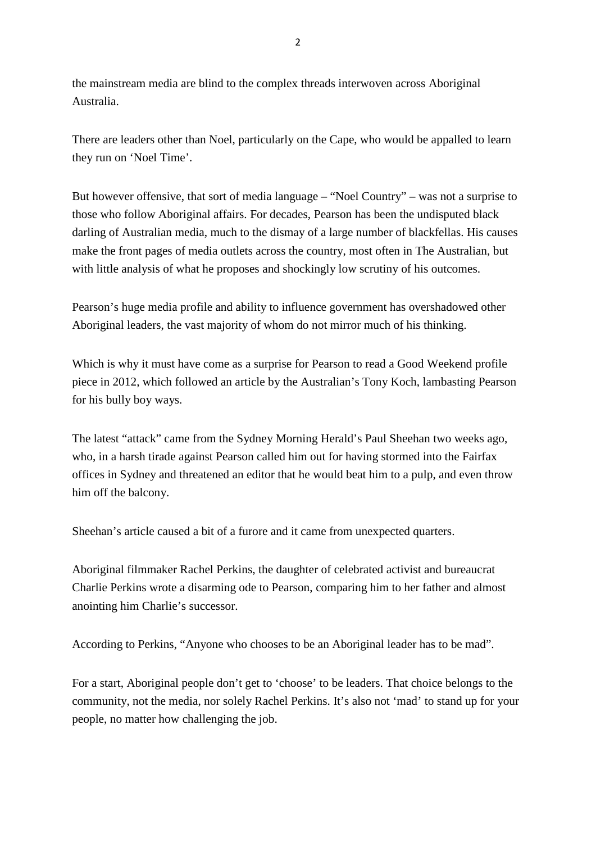the mainstream media are blind to the complex threads interwoven across Aboriginal Australia.

There are leaders other than Noel, particularly on the Cape, who would be appalled to learn they run on 'Noel Time'.

But however offensive, that sort of media language – "Noel Country" – was not a surprise to those who follow Aboriginal affairs. For decades, Pearson has been the undisputed black darling of Australian media, much to the dismay of a large number of blackfellas. His causes make the front pages of media outlets across the country, most often in The Australian, but with little analysis of what he proposes and shockingly low scrutiny of his outcomes.

Pearson's huge media profile and ability to influence government has overshadowed other Aboriginal leaders, the vast majority of whom do not mirror much of his thinking.

Which is why it must have come as a surprise for Pearson to read a Good Weekend profile piece in 2012, which followed an article by the Australian's Tony Koch, lambasting Pearson for his bully boy ways.

The latest "attack" came from the Sydney Morning Herald's Paul Sheehan two weeks ago, who, in a harsh tirade against Pearson called him out for having stormed into the Fairfax offices in Sydney and threatened an editor that he would beat him to a pulp, and even throw him off the balcony.

Sheehan's article caused a bit of a furore and it came from unexpected quarters.

Aboriginal filmmaker Rachel Perkins, the daughter of celebrated activist and bureaucrat Charlie Perkins wrote a disarming ode to Pearson, comparing him to her father and almost anointing him Charlie's successor.

According to Perkins, "Anyone who chooses to be an Aboriginal leader has to be mad".

For a start, Aboriginal people don't get to 'choose' to be leaders. That choice belongs to the community, not the media, nor solely Rachel Perkins. It's also not 'mad' to stand up for your people, no matter how challenging the job.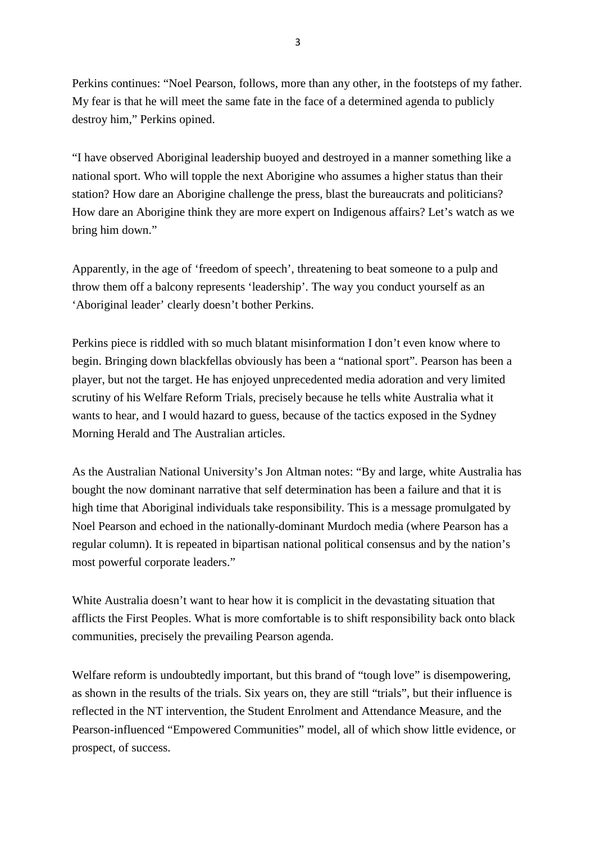Perkins continues: "Noel Pearson, follows, more than any other, in the footsteps of my father. My fear is that he will meet the same fate in the face of a determined agenda to publicly destroy him," Perkins opined.

"I have observed Aboriginal leadership buoyed and destroyed in a manner something like a national sport. Who will topple the next Aborigine who assumes a higher status than their station? How dare an Aborigine challenge the press, blast the bureaucrats and politicians? How dare an Aborigine think they are more expert on Indigenous affairs? Let's watch as we bring him down."

Apparently, in the age of 'freedom of speech', threatening to beat someone to a pulp and throw them off a balcony represents 'leadership'. The way you conduct yourself as an 'Aboriginal leader' clearly doesn't bother Perkins.

Perkins piece is riddled with so much blatant misinformation I don't even know where to begin. Bringing down blackfellas obviously has been a "national sport". Pearson has been a player, but not the target. He has enjoyed unprecedented media adoration and very limited scrutiny of his Welfare Reform Trials, precisely because he tells white Australia what it wants to hear, and I would hazard to guess, because of the tactics exposed in the Sydney Morning Herald and The Australian articles.

As the Australian National University's Jon Altman notes: "By and large, white Australia has bought the now dominant narrative that self determination has been a failure and that it is high time that Aboriginal individuals take responsibility. This is a message promulgated by Noel Pearson and echoed in the nationally-dominant Murdoch media (where Pearson has a regular column). It is repeated in bipartisan national political consensus and by the nation's most powerful corporate leaders."

White Australia doesn't want to hear how it is complicit in the devastating situation that afflicts the First Peoples. What is more comfortable is to shift responsibility back onto black communities, precisely the prevailing Pearson agenda.

Welfare reform is undoubtedly important, but this brand of "tough love" is disempowering, as shown in the results of the trials. Six years on, they are still "trials", but their influence is reflected in the NT intervention, the Student Enrolment and Attendance Measure, and the Pearson-influenced "Empowered Communities" model, all of which show little evidence, or prospect, of success.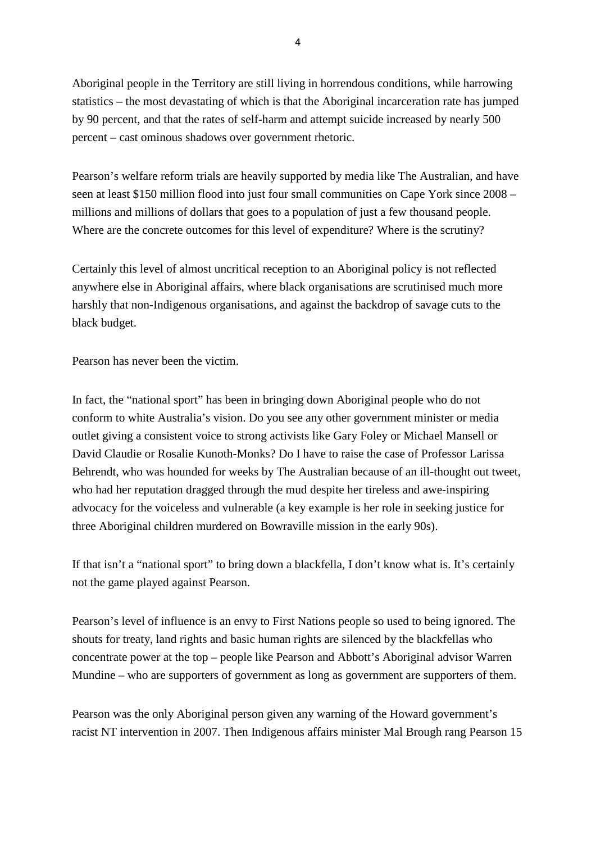Aboriginal people in the Territory are still living in horrendous conditions, while harrowing statistics – the most devastating of which is that the Aboriginal incarceration rate has jumped by 90 percent, and that the rates of self-harm and attempt suicide increased by nearly 500 percent – cast ominous shadows over government rhetoric.

Pearson's welfare reform trials are heavily supported by media like The Australian, and have seen at least \$150 million flood into just four small communities on Cape York since 2008 – millions and millions of dollars that goes to a population of just a few thousand people. Where are the concrete outcomes for this level of expenditure? Where is the scrutiny?

Certainly this level of almost uncritical reception to an Aboriginal policy is not reflected anywhere else in Aboriginal affairs, where black organisations are scrutinised much more harshly that non-Indigenous organisations, and against the backdrop of savage cuts to the black budget.

Pearson has never been the victim.

In fact, the "national sport" has been in bringing down Aboriginal people who do not conform to white Australia's vision. Do you see any other government minister or media outlet giving a consistent voice to strong activists like Gary Foley or Michael Mansell or David Claudie or Rosalie Kunoth-Monks? Do I have to raise the case of Professor Larissa Behrendt, who was hounded for weeks by The Australian because of an ill-thought out tweet, who had her reputation dragged through the mud despite her tireless and awe-inspiring advocacy for the voiceless and vulnerable (a key example is her role in seeking justice for three Aboriginal children murdered on Bowraville mission in the early 90s).

If that isn't a "national sport" to bring down a blackfella, I don't know what is. It's certainly not the game played against Pearson.

Pearson's level of influence is an envy to First Nations people so used to being ignored. The shouts for treaty, land rights and basic human rights are silenced by the blackfellas who concentrate power at the top – people like Pearson and Abbott's Aboriginal advisor Warren Mundine – who are supporters of government as long as government are supporters of them.

Pearson was the only Aboriginal person given any warning of the Howard government's racist NT intervention in 2007. Then Indigenous affairs minister Mal Brough rang Pearson 15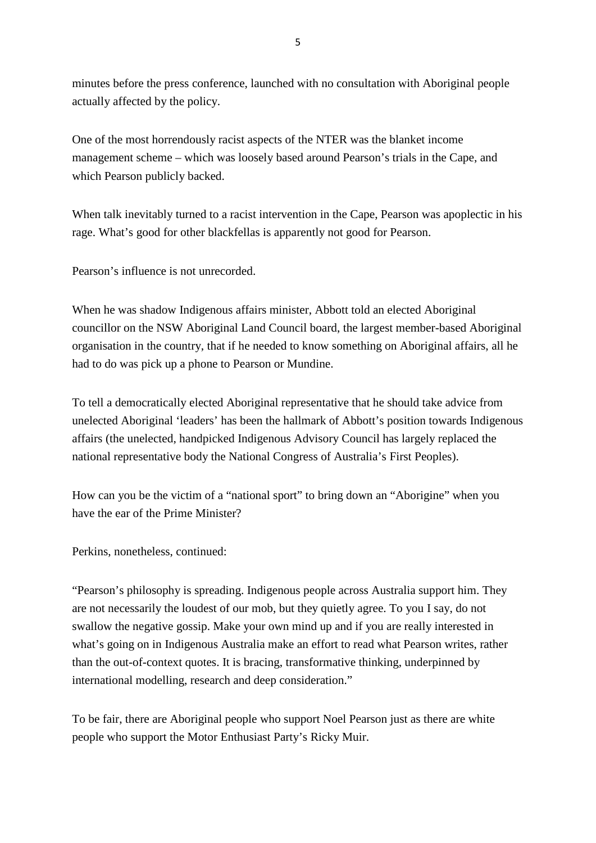minutes before the press conference, launched with no consultation with Aboriginal people actually affected by the policy.

One of the most horrendously racist aspects of the NTER was the blanket income management scheme – which was loosely based around Pearson's trials in the Cape, and which Pearson publicly backed.

When talk inevitably turned to a racist intervention in the Cape, Pearson was apoplectic in his rage. What's good for other blackfellas is apparently not good for Pearson.

Pearson's influence is not unrecorded.

When he was shadow Indigenous affairs minister, Abbott told an elected Aboriginal councillor on the NSW Aboriginal Land Council board, the largest member-based Aboriginal organisation in the country, that if he needed to know something on Aboriginal affairs, all he had to do was pick up a phone to Pearson or Mundine.

To tell a democratically elected Aboriginal representative that he should take advice from unelected Aboriginal 'leaders' has been the hallmark of Abbott's position towards Indigenous affairs (the unelected, handpicked Indigenous Advisory Council has largely replaced the national representative body the National Congress of Australia's First Peoples).

How can you be the victim of a "national sport" to bring down an "Aborigine" when you have the ear of the Prime Minister?

Perkins, nonetheless, continued:

"Pearson's philosophy is spreading. Indigenous people across Australia support him. They are not necessarily the loudest of our mob, but they quietly agree. To you I say, do not swallow the negative gossip. Make your own mind up and if you are really interested in what's going on in Indigenous Australia make an effort to read what Pearson writes, rather than the out-of-context quotes. It is bracing, transformative thinking, underpinned by international modelling, research and deep consideration."

To be fair, there are Aboriginal people who support Noel Pearson just as there are white people who support the Motor Enthusiast Party's Ricky Muir.